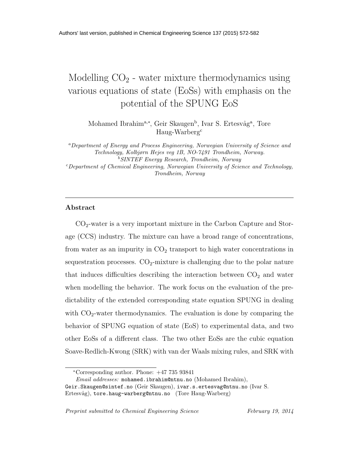# Modelling  $CO<sub>2</sub>$  - water mixture thermodynamics using various equations of state (EoSs) with emphasis on the potential of the SPUNG EoS

Mohamed Ibrahim<sup>a,\*</sup>, Geir Skaugen<sup>b</sup>, Ivar S. Ertesvåg<sup>a</sup>, Tore Haug-Warberg<sup>c</sup>

<sup>a</sup>*Department of Energy and Process Engineering, Norwegian University of Science and Technology, Kolbjørn Hejes veg 1B, NO-7491 Trondheim, Norway.* <sup>b</sup>*SINTEF Energy Research, Trondheim, Norway* <sup>c</sup>*Department of Chemical Engineering, Norwegian University of Science and Technology, Trondheim, Norway*

## Abstract

 $CO<sub>2</sub>$ -water is a very important mixture in the Carbon Capture and Storage (CCS) industry. The mixture can have a broad range of concentrations, from water as an impurity in  $CO<sub>2</sub>$  transport to high water concentrations in sequestration processes.  $CO<sub>2</sub>$ -mixture is challenging due to the polar nature that induces difficulties describing the interaction between  $CO<sub>2</sub>$  and water when modelling the behavior. The work focus on the evaluation of the predictability of the extended corresponding state equation SPUNG in dealing with  $CO<sub>2</sub>$ -water thermodynamics. The evaluation is done by comparing the behavior of SPUNG equation of state (EoS) to experimental data, and two other EoSs of a different class. The two other EoSs are the cubic equation Soave-Redlich-Kwong (SRK) with van der Waals mixing rules, and SRK with

<sup>∗</sup>Corresponding author. Phone: +47 735 93841

*Email addresses:* mohamed.ibrahim@ntnu.no (Mohamed Ibrahim),

Geir.Skaugen@sintef.no (Geir Skaugen), ivar.s.ertesvag@ntnu.no (Ivar S. Ertesvåg), tore.haug-warberg@ntnu.no (Tore Haug-Warberg)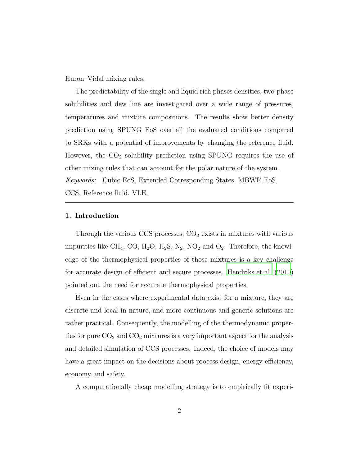Huron–Vidal mixing rules.

The predictability of the single and liquid rich phases densities, two-phase solubilities and dew line are investigated over a wide range of pressures, temperatures and mixture compositions. The results show better density prediction using SPUNG EoS over all the evaluated conditions compared to SRKs with a potential of improvements by changing the reference fluid. However, the  $CO<sub>2</sub>$  solubility prediction using SPUNG requires the use of other mixing rules that can account for the polar nature of the system. Keywords: Cubic EoS, Extended Corresponding States, MBWR EoS, CCS, Reference fluid, VLE.

## 1. Introduction

Through the various CCS processes,  $CO<sub>2</sub>$  exists in mixtures with various impurities like CH<sub>4</sub>, CO, H<sub>2</sub>O, H<sub>2</sub>S, N<sub>2</sub>, NO<sub>2</sub> and O<sub>2</sub>. Therefore, the knowledge of the thermophysical properties of those mixtures is a key challenge for accurate design of efficient and secure processes. [Hendriks et al. \(2010\)](#page-30-0) pointed out the need for accurate thermophysical properties.

Even in the cases where experimental data exist for a mixture, they are discrete and local in nature, and more continuous and generic solutions are rather practical. Consequently, the modelling of the thermodynamic properties for pure  $CO<sub>2</sub>$  and  $CO<sub>2</sub>$  mixtures is a very important aspect for the analysis and detailed simulation of CCS processes. Indeed, the choice of models may have a great impact on the decisions about process design, energy efficiency, economy and safety.

A computationally cheap modelling strategy is to empirically fit experi-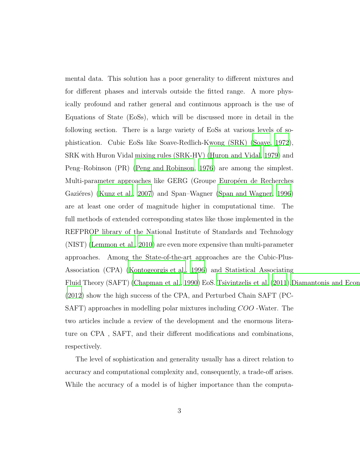mental data. This solution has a poor generality to different mixtures and for different phases and intervals outside the fitted range. A more physically profound and rather general and continuous approach is the use of Equations of State (EoSs), which will be discussed more in detail in the following section. There is a large variety of EoSs at various levels of sophistication. Cubic EoSs like Soave-Redlich-Kwong (SRK) [\(Soave, 1972\)](#page-33-0), SRK with Huron Vidal mixing rules (SRK-HV) [\(Huron and Vidal](#page-31-0), [1979\)](#page-31-0) and Peng–Robinson (PR) [\(Peng and Robinson](#page-33-1), [1976](#page-33-1)) are among the simplest. Multi-parameter approaches like GERG (Groupe Européen de Recherches Gaziéres) [\(Kunz et al., 2007\)](#page-31-1) and Span–Wagner [\(Span and Wagner, 1996\)](#page-33-2) are at least one order of magnitude higher in computational time. The full methods of extended corresponding states like those implemented in the REFPROP library of the National Institute of Standards and Technology (NIST) [\(Lemmon et al., 2010](#page-32-0)) are even more expensive than multi-parameter approaches. Among the State-of-the-art approaches are the Cubic-Plus-Association (CPA) [\(Kontogeorgis et al., 1996](#page-31-2)) and Statistical Associating Fluid Theory (SAFT) [\(Chapman et al., 1990](#page-29-0)) EoS. [Tsivintzelis](#page-34-0) et al. [\(2011](#page-34-0)), Diamantonis and Econ [\(2012\)](#page-30-1) show the high success of the CPA, and Perturbed Chain SAFT (PC-SAFT) approaches in modelling polar mixtures including COO -Water. The two articles include a review of the development and the enormous literature on CPA , SAFT, and their different modifications and combinations, respectively.

The level of sophistication and generality usually has a direct relation to accuracy and computational complexity and, consequently, a trade-off arises. While the accuracy of a model is of higher importance than the computa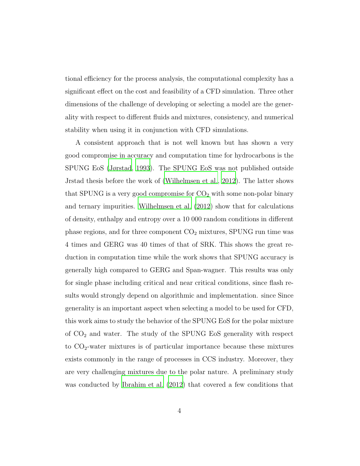tional efficiency for the process analysis, the computational complexity has a significant effect on the cost and feasibility of a CFD simulation. Three other dimensions of the challenge of developing or selecting a model are the generality with respect to different fluids and mixtures, consistency, and numerical stability when using it in conjunction with CFD simulations.

A consistent approach that is not well known but has shown a very good compromise in accuracy and computation time for hydrocarbons is the SPUNG EoS [\(Jørstad, 1993](#page-31-3)). The SPUNG EoS was not published outside Jrstad thesis before the work of [\(Wilhelmsen et al.](#page-34-1), [2012\)](#page-34-1). The latter shows that SPUNG is a very good compromise for  $CO<sub>2</sub>$  with some non-polar binary and ternary impurities. [Wilhelmsen et al. \(2012\)](#page-34-1) show that for calculations of density, enthalpy and entropy over a 10 000 random conditions in different phase regions, and for three component  $CO<sub>2</sub>$  mixtures, SPUNG run time was 4 times and GERG was 40 times of that of SRK. This shows the great reduction in computation time while the work shows that SPUNG accuracy is generally high compared to GERG and Span-wagner. This results was only for single phase including critical and near critical conditions, since flash results would strongly depend on algorithmic and implementation. since Since generality is an important aspect when selecting a model to be used for CFD, this work aims to study the behavior of the SPUNG EoS for the polar mixture of  $CO<sub>2</sub>$  and water. The study of the SPUNG EoS generality with respect to  $CO<sub>2</sub>$ -water mixtures is of particular importance because these mixtures exists commonly in the range of processes in CCS industry. Moreover, they are very challenging mixtures due to the polar nature. A preliminary study was conducted by [Ibrahim et al. \(2012\)](#page-31-4) that covered a few conditions that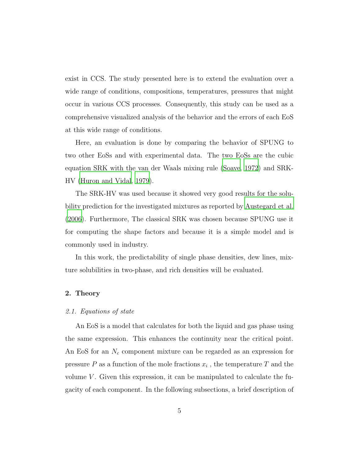exist in CCS. The study presented here is to extend the evaluation over a wide range of conditions, compositions, temperatures, pressures that might occur in various CCS processes. Consequently, this study can be used as a comprehensive visualized analysis of the behavior and the errors of each EoS at this wide range of conditions.

Here, an evaluation is done by comparing the behavior of SPUNG to two other EoSs and with experimental data. The two EoSs are the cubic equation SRK with the van der Waals mixing rule [\(Soave, 1972](#page-33-0)) and SRK-HV [\(Huron and Vidal](#page-31-0), [1979\)](#page-31-0).

The SRK-HV was used because it showed very good results for the solubility prediction for the investigated mixtures as reported by [Austegard et al.](#page-29-1) [\(2006\)](#page-29-1). Furthermore, The classical SRK was chosen because SPUNG use it for computing the shape factors and because it is a simple model and is commonly used in industry.

In this work, the predictability of single phase densities, dew lines, mixture solubilities in two-phase, and rich densities will be evaluated.

## 2. Theory

#### 2.1. Equations of state

An EoS is a model that calculates for both the liquid and gas phase using the same expression. This enhances the continuity near the critical point. An EoS for an  $N_c$  component mixture can be regarded as an expression for pressure  $P$  as a function of the mole fractions  $x_i$ , the temperature  $T$  and the volume  $V$ . Given this expression, it can be manipulated to calculate the fugacity of each component. In the following subsections, a brief description of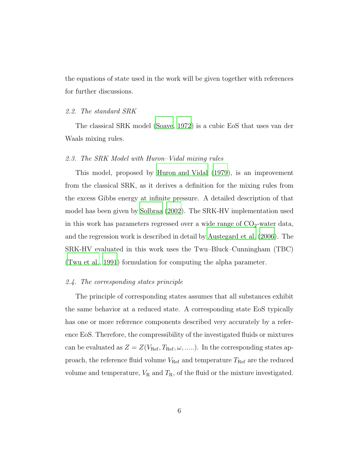the equations of state used in the work will be given together with references for further discussions.

#### 2.2. The standard SRK

The classical SRK model [\(Soave](#page-33-0), [1972](#page-33-0)) is a cubic EoS that uses van der Waals mixing rules.

## 2.3. The SRK Model with Huron–Vidal mixing rules

This model, proposed by [Huron and Vidal \(1979](#page-31-0)), is an improvement from the classical SRK, as it derives a definition for the mixing rules from the excess Gibbs energy at infinite pressure. A detailed description of that model has been given by [Solbraa \(2002](#page-33-3)). The SRK-HV implementation used in this work has parameters regressed over a wide range of  $CO<sub>2</sub>$ -water data, and the regression work is described in detail by [Austegard et](#page-29-1) al. [\(2006\)](#page-29-1). The SRK-HV evaluated in this work uses the Twu–Bluck–Cunningham (TBC) [\(Twu et al., 1991](#page-34-2)) formulation for computing the alpha parameter.

#### 2.4. The corresponding states principle

The principle of corresponding states assumes that all substances exhibit the same behavior at a reduced state. A corresponding state EoS typically has one or more reference components described very accurately by a reference EoS. Therefore, the compressibility of the investigated fluids or mixtures can be evaluated as  $Z = Z(V_{\text{Ref}}, T_{\text{Ref}}, \omega, \ldots)$ . In the corresponding states approach, the reference fluid volume  $V_{\rm Ref}$  and temperature  $T_{\rm Ref}$  are the reduced volume and temperature,  $V_R$  and  $T_R$ , of the fluid or the mixture investigated.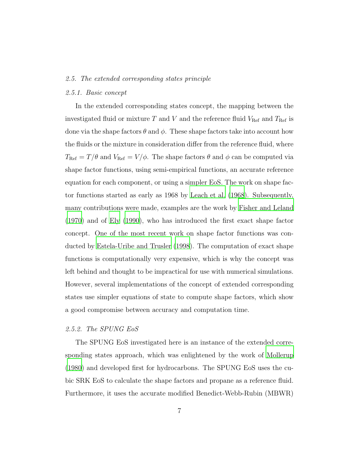#### 2.5. The extended corresponding states principle

#### 2.5.1. Basic concept

In the extended corresponding states concept, the mapping between the investigated fluid or mixture T and V and the reference fluid  $V_{\text{Ref}}$  and  $T_{\text{Ref}}$  is done via the shape factors  $\theta$  and  $\phi$ . These shape factors take into account how the fluids or the mixture in consideration differ from the reference fluid, where  $T_{\text{Ref}} = T/\theta$  and  $V_{\text{Ref}} = V/\phi$ . The shape factors  $\theta$  and  $\phi$  can be computed via shape factor functions, using semi-empirical functions, an accurate reference equation for each component, or using a simpler EoS. The work on shape factor functions started as early as 1968 by [Leach et al. \(1968\)](#page-31-5). Subsequently, many contributions were made, examples are the work by [Fisher and Leland](#page-30-2) [\(1970\)](#page-30-2) and of [Ely \(1990\)](#page-30-3), who has introduced the first exact shape factor concept. One of the most recent work on shape factor functions was conducted by [Estela-Uribe and Trusler \(1998\)](#page-30-4). The computation of exact shape functions is computationally very expensive, which is why the concept was left behind and thought to be impractical for use with numerical simulations. However, several implementations of the concept of extended corresponding states use simpler equations of state to compute shape factors, which show a good compromise between accuracy and computation time.

## <span id="page-6-0"></span>2.5.2. The SPUNG EoS

The SPUNG EoS investigated here is an instance of the extended corresponding states approach, which was enlightened by the work of [Mollerup](#page-32-1) [\(1980\)](#page-32-1) and developed first for hydrocarbons. The SPUNG EoS uses the cubic SRK EoS to calculate the shape factors and propane as a reference fluid. Furthermore, it uses the accurate modified Benedict-Webb-Rubin (MBWR)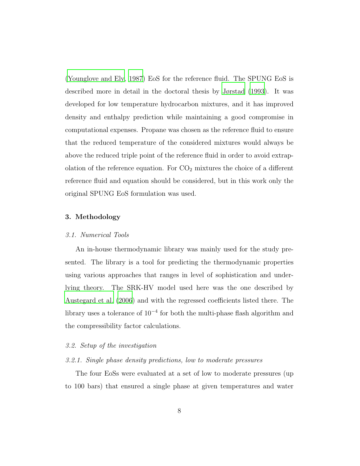[\(Younglove and Ely, 1987\)](#page-34-3) EoS for the reference fluid. The SPUNG EoS is described more in detail in the doctoral thesis by [Jørstad \(1993\)](#page-31-3). It was developed for low temperature hydrocarbon mixtures, and it has improved density and enthalpy prediction while maintaining a good compromise in computational expenses. Propane was chosen as the reference fluid to ensure that the reduced temperature of the considered mixtures would always be above the reduced triple point of the reference fluid in order to avoid extrapolation of the reference equation. For  $CO<sub>2</sub>$  mixtures the choice of a different reference fluid and equation should be considered, but in this work only the original SPUNG EoS formulation was used.

## 3. Methodology

#### 3.1. Numerical Tools

An in-house thermodynamic library was mainly used for the study presented. The library is a tool for predicting the thermodynamic properties using various approaches that ranges in level of sophistication and underlying theory. The SRK-HV model used here was the one described by [Austegard et al. \(2006](#page-29-1)) and with the regressed coefficients listed there. The library uses a tolerance of 10<sup>−</sup><sup>4</sup> for both the multi-phase flash algorithm and the compressibility factor calculations.

#### 3.2. Setup of the investigation

#### 3.2.1. Single phase density predictions, low to moderate pressures

The four EoSs were evaluated at a set of low to moderate pressures (up to 100 bars) that ensured a single phase at given temperatures and water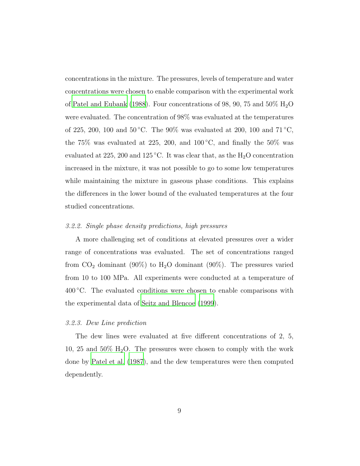concentrations in the mixture. The pressures, levels of temperature and water concentrations were chosen to enable comparison with the experimental work of [Patel and Eubank \(1988\)](#page-33-4). Four concentrations of 98, 90, 75 and 50%  $H_2O$ were evaluated. The concentration of 98% was evaluated at the temperatures of 225, 200, 100 and 50 °C. The 90% was evaluated at 200, 100 and 71 °C, the 75% was evaluated at 225, 200, and  $100\degree C$ , and finally the 50% was evaluated at 225, 200 and 125 °C. It was clear that, as the  $H_2O$  concentration increased in the mixture, it was not possible to go to some low temperatures while maintaining the mixture in gaseous phase conditions. This explains the differences in the lower bound of the evaluated temperatures at the four studied concentrations.

### 3.2.2. Single phase density predictions, high pressures

A more challenging set of conditions at elevated pressures over a wider range of concentrations was evaluated. The set of concentrations ranged from  $CO_2$  dominant (90%) to  $H_2O$  dominant (90%). The pressures varied from 10 to 100 MPa. All experiments were conducted at a temperature of  $400\degree$ C. The evaluated conditions were chosen to enable comparisons with the experimental data of [Seitz and Blencoe \(1999\)](#page-33-5).

## 3.2.3. Dew Line prediction

The dew lines were evaluated at five different concentrations of 2, 5, 10, 25 and 50%  $H_2O$ . The pressures were chosen to comply with the work done by [Patel et al. \(1987](#page-33-6)), and the dew temperatures were then computed dependently.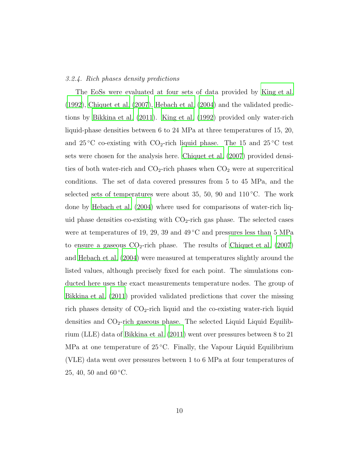#### 3.2.4. Rich phases density predictions

The EoSs were evaluated at four sets of data provided by [King et al.](#page-31-6) [\(1992\)](#page-31-6), [Chiquet et al. \(2007\)](#page-30-5), [Hebach et al. \(2004](#page-30-6)) and the validated predictions by [Bikkina et al. \(2011\)](#page-29-2). [King et al. \(1992\)](#page-31-6) provided only water-rich liquid-phase densities between 6 to 24 MPa at three temperatures of 15, 20, and  $25^{\circ}$ C co-existing with CO<sub>2</sub>-rich liquid phase. The 15 and  $25^{\circ}$ C test sets were chosen for the analysis here. [Chiquet et al. \(2007\)](#page-30-5) provided densities of both water-rich and  $CO_2$ -rich phases when  $CO_2$  were at supercritical conditions. The set of data covered pressures from 5 to 45 MPa, and the selected sets of temperatures were about 35, 50, 90 and  $110\degree$ C. The work done by [Hebach et al. \(2004](#page-30-6)) where used for comparisons of water-rich liquid phase densities co-existing with  $CO<sub>2</sub>$ -rich gas phase. The selected cases were at temperatures of 19, 29, 39 and 49 °C and pressures less than 5 MPa to ensure a gaseous  $CO_2$ -rich phase. The results of [Chiquet et al. \(2007\)](#page-30-5) and [Hebach et al. \(2004](#page-30-6)) were measured at temperatures slightly around the listed values, although precisely fixed for each point. The simulations conducted here uses the exact measurements temperature nodes. The group of [Bikkina et al. \(2011\)](#page-29-2) provided validated predictions that cover the missing rich phases density of  $CO<sub>2</sub>$ -rich liquid and the co-existing water-rich liquid densities and CO2-rich gaseous phase. The selected Liquid Liquid Equilibrium (LLE) data of [Bikkina et al. \(2011\)](#page-29-2) went over pressures between 8 to 21 MPa at one temperature of  $25^{\circ}$ C. Finally, the Vapour Liquid Equilibrium (VLE) data went over pressures between 1 to 6 MPa at four temperatures of 25, 40, 50 and  $60^{\circ}$ C.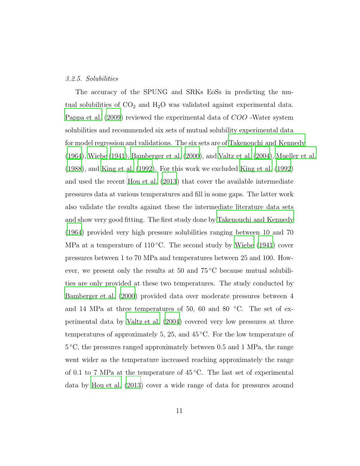#### 3.2.5. Solubilities

The accuracy of the SPUNG and SRKs EoSs in predicting the mutual solubilities of  $CO<sub>2</sub>$  and  $H<sub>2</sub>O$  was validated against experimental data. [Pappa et al. \(2009](#page-32-2)) reviewed the experimental data of COO -Water system solubilities and recommended six sets of mutual solubility experimental data for model regression and validations. The six sets are of [Takenouchi and Kennedy](#page-33-7) [\(1964\)](#page-33-7), [Wiebe \(1941\)](#page-34-4), [Bamberger et al. \(2000](#page-29-3)), and [Valtz et al. \(2004\)](#page-34-5), [Mueller et al.](#page-32-3) [\(1988\)](#page-32-3), and [King et al. \(1992](#page-31-6)). For this work we excluded King [et al. \(1992\)](#page-31-6) and used the recent [Hou et al. \(2013\)](#page-31-7) that cover the available intermediate pressures data at various temperatures and fill in some gaps. The latter work also validate the results against these the intermediate literature data sets and show very good fitting. The first study done by [Takenouchi and Kennedy](#page-33-7) [\(1964\)](#page-33-7) provided very high pressure solubilities ranging between 10 and 70 MPa at a temperature of  $110\degree C$ . The second study by [Wiebe \(1941](#page-34-4)) cover pressures between 1 to 70 MPa and temperatures between 25 and 100. However, we present only the results at 50 and  $75^{\circ}$ C because mutual solubilities are only provided at these two temperatures. The study conducted by [Bamberger et al. \(2000\)](#page-29-3) provided data over moderate pressures between 4 and 14 MPa at three temperatures of 50, 60 and 80  $°C$ . The set of experimental data by [Valtz et al. \(2004](#page-34-5)) covered very low pressures at three temperatures of approximately 5, 25, and  $45\degree\text{C}$ . For the low temperature of 5 ◦C, the pressures ranged approximately between 0.5 and 1 MPa, the range went wider as the temperature increased reaching approximately the range of 0.1 to 7 MPa at the temperature of  $45^{\circ}$ C. The last set of experimental data by [Hou et al. \(2013](#page-31-7)) cover a wide range of data for pressures around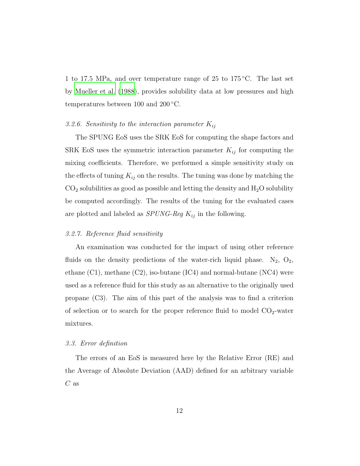1 to 17.5 MPa, and over temperature range of 25 to 175 ◦C. The last set by [Mueller et al. \(1988\)](#page-32-3), provides solubility data at low pressures and high temperatures between 100 and 200 °C.

# <span id="page-11-0"></span>3.2.6. Sensitivity to the interaction parameter  $K_{ij}$

The SPUNG EoS uses the SRK EoS for computing the shape factors and SRK EoS uses the symmetric interaction parameter  $K_{ij}$  for computing the mixing coefficients. Therefore, we performed a simple sensitivity study on the effects of tuning  $K_{ij}$  on the results. The tuning was done by matching the  $CO<sub>2</sub>$  solubilities as good as possible and letting the density and  $H<sub>2</sub>O$  solubility be computed accordingly. The results of the tuning for the evaluated cases are plotted and labeled as  $SPUNG\text{-}Reg K_{ij}$  in the following.

## 3.2.7. Reference fluid sensitivity

An examination was conducted for the impact of using other reference fluids on the density predictions of the water-rich liquid phase.  $N_2$ ,  $O_2$ , ethane  $(C1)$ , methane  $(C2)$ , iso-butane  $(IC4)$  and normal-butane  $(NC4)$  were used as a reference fluid for this study as an alternative to the originally used propane (C3). The aim of this part of the analysis was to find a criterion of selection or to search for the proper reference fluid to model  $CO<sub>2</sub>$ -water mixtures.

## 3.3. Error definition

The errors of an EoS is measured here by the Relative Error (RE) and the Average of Absolute Deviation (AAD) defined for an arbitrary variable  $C$  as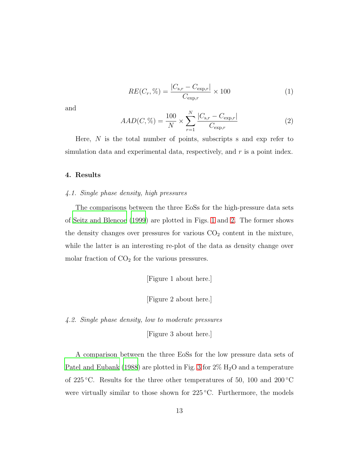$$
RE(C_r, \% ) = \frac{|C_{s,r} - C_{\exp,r}|}{C_{\exp,r}} \times 100
$$
 (1)

and

$$
AAD(C, \%) = \frac{100}{N} \times \sum_{r=1}^{N} \frac{|C_{\text{s,r}} - C_{\text{exp,r}}|}{C_{\text{exp,r}}}
$$
(2)

Here,  $N$  is the total number of points, subscripts s and exp refer to simulation data and experimental data, respectively, and  $r$  is a point index.

## 4. Results

#### 4.1. Single phase density, high pressures

The comparisons between the three EoSs for the high-pressure data sets of [Seitz and Blencoe \(1999\)](#page-33-5) are plotted in Figs. [1](#page-37-0) and [2.](#page-38-0) The former shows the density changes over pressures for various  $CO<sub>2</sub>$  content in the mixture, while the latter is an interesting re-plot of the data as density change over molar fraction of  $CO<sub>2</sub>$  for the various pressures.

[Figure 1 about here.]

[Figure 2 about here.]

4.2. Single phase density, low to moderate pressures

[Figure 3 about here.]

A comparison between the three EoSs for the low pressure data sets of [Patel and Eubank \(1988](#page-33-4)) are plotted in Fig. [3](#page-39-0) for  $2\%$  H<sub>2</sub>O and a temperature of 225 °C. Results for the three other temperatures of 50, 100 and 200 °C were virtually similar to those shown for  $225\degree C$ . Furthermore, the models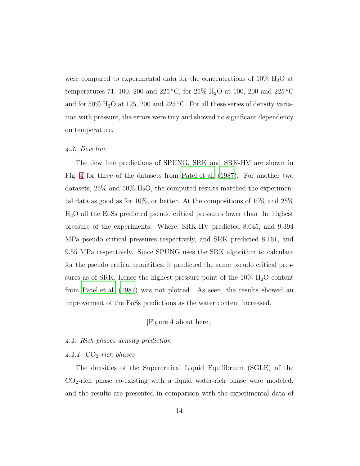were compared to experimental data for the concentrations of  $10\%$  H<sub>2</sub>O at temperatures 71, 100, 200 and 225 °C, for 25% H<sub>2</sub>O at 100, 200 and 225 °C and for  $50\%$  H<sub>2</sub>O at 125, 200 and 225 °C. For all these series of density variation with pressure, the errors were tiny and showed no significant dependency on temperature.

## 4.3. Dew line

The dew line predictions of SPUNG, SRK and SRK-HV are shown in Fig. [4](#page-40-0) for three of the datasets from [Patel et al. \(1987](#page-33-6)). For another two datasets,  $25\%$  and  $50\%$  H<sub>2</sub>O, the computed results matched the experimental data as good as for 10%, or better. At the compositions of 10% and 25% H2O all the EoSs predicted pseudo critical pressures lower than the highest pressure of the experiments. Where, SRK-HV predicted 8.045, and 9.394 MPa pseudo critical pressures respectively, and SRK predicted 8.161, and 9.55 MPa respectively. Since SPUNG uses the SRK algorithm to calculate for the pseudo critical quantities, it predicted the same pseudo critical pressures as of SRK. Hence the highest pressure point of the  $10\%$   $\mathrm{H}_{2}\mathrm{O}$  content from [Patel et al. \(1987\)](#page-33-6) was not plotted. As seen, the results showed an improvement of the EoSs predictions as the water content increased.

## [Figure 4 about here.]

## <span id="page-13-0"></span>4.4. Rich phases density prediction

#### $4.4.1. CO<sub>2</sub>-rich phases$

The densities of the Supercritical Liquid Equilibrium (SGLE) of the  $CO<sub>2</sub>$ -rich phase co-existing with a liquid water-rich phase were modeled, and the results are presented in comparison with the experimental data of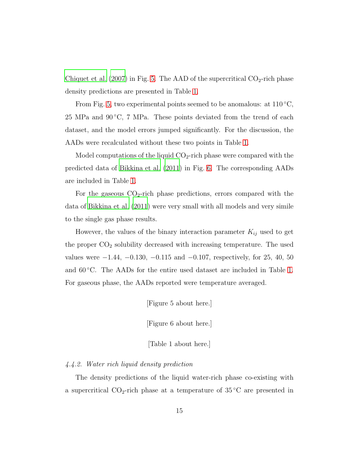[Chiquet et al. \(2007\)](#page-30-5) in Fig. [5.](#page-41-0) The AAD of the supercritical  $CO<sub>2</sub>$ -rich phase density predictions are presented in Table [1.](#page-52-0)

From Fig. [5,](#page-41-0) two experimental points seemed to be anomalous: at  $110^{\circ}$ C, 25 MPa and  $90\degree C$ , 7 MPa. These points deviated from the trend of each dataset, and the model errors jumped significantly. For the discussion, the AADs were recalculated without these two points in Table [1.](#page-52-0)

Model computations of the liquid  $CO<sub>2</sub>$ -rich phase were compared with the predicted data of [Bikkina et al. \(2011](#page-29-2)) in Fig. [6.](#page-42-0) The corresponding AADs are included in Table [1.](#page-52-0)

For the gaseous  $CO<sub>2</sub>$ -rich phase predictions, errors compared with the data of [Bikkina et al. \(2011\)](#page-29-2) were very small with all models and very simile to the single gas phase results.

However, the values of the binary interaction parameter  $K_{ij}$  used to get the proper  $CO<sub>2</sub>$  solubility decreased with increasing temperature. The used values were  $-1.44$ ,  $-0.130$ ,  $-0.115$  and  $-0.107$ , respectively, for 25, 40, 50 and  $60^{\circ}$ C. The AADs for the entire used dataset are included in Table [1.](#page-52-0) For gaseous phase, the AADs reported were temperature averaged.

[Figure 5 about here.]

[Figure 6 about here.]

[Table 1 about here.]

## 4.4.2. Water rich liquid density prediction

The density predictions of the liquid water-rich phase co-existing with a supercritical  $CO_2$ -rich phase at a temperature of  $35\degree C$  are presented in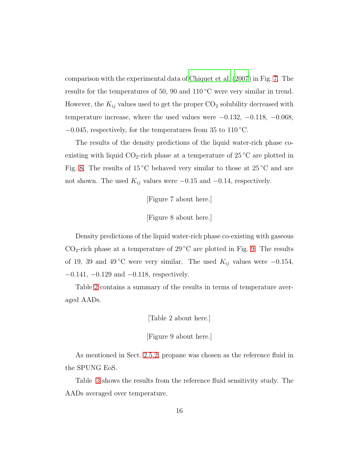comparison with the experimental data of [Chiquet et al. \(2007](#page-30-5)) in Fig. [7.](#page-43-0) The results for the temperatures of 50, 90 and  $110\degree C$  were very similar in trend. However, the  $K_{ij}$  values used to get the proper  $\mathrm{CO}_2$  solubility decreased with temperature increase, where the used values were  $-0.132, -0.118, -0.068$ ,  $-0.045$ , respectively, for the temperatures from 35 to 110 °C.

The results of the density predictions of the liquid water-rich phase coexisting with liquid  $CO_2$ -rich phase at a temperature of 25 °C are plotted in Fig. [8.](#page-44-0) The results of  $15\textdegree C$  behaved very similar to those at  $25\textdegree C$  and are not shown. The used  $K_{ij}$  values were −0.15 and −0.14, respectively.

[Figure 7 about here.]

[Figure 8 about here.]

Density predictions of the liquid water-rich phase co-existing with gaseous  $CO<sub>2</sub>$ -rich phase at a temperature of 29 °C are plotted in Fig. [9.](#page-45-0) The results of 19, 39 and 49 °C were very similar. The used  $K_{ij}$  values were −0.154, −0.141, −0.129 and −0.118, respectively.

Table [2](#page-53-0) contains a summary of the results in terms of temperature averaged AADs.

[Table 2 about here.]

[Figure 9 about here.]

As mentioned in Sect. [2.5.2,](#page-6-0) propane was chosen as the reference fluid in the SPUNG EoS.

Table [3](#page-54-0) shows the results from the reference fluid sensitivity study. The AADs averaged over temperature.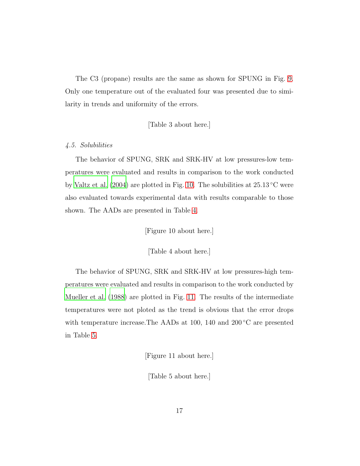The C3 (propane) results are the same as shown for SPUNG in Fig. [9.](#page-45-0) Only one temperature out of the evaluated four was presented due to similarity in trends and uniformity of the errors.

[Table 3 about here.]

## 4.5. Solubilities

The behavior of SPUNG, SRK and SRK-HV at low pressures-low temperatures were evaluated and results in comparison to the work conducted by [Valtz et al. \(2004](#page-34-5)) are plotted in Fig. [10.](#page-46-0) The solubilities at  $25.13\textdegree C$  were also evaluated towards experimental data with results comparable to those shown. The AADs are presented in Table [4.](#page-55-0)

[Figure 10 about here.]

[Table 4 about here.]

The behavior of SPUNG, SRK and SRK-HV at low pressures-high temperatures were evaluated and results in comparison to the work conducted by [Mueller et al. \(1988\)](#page-32-3) are plotted in Fig. [11.](#page-47-0) The results of the intermediate temperatures were not ploted as the trend is obvious that the error drops with temperature increase. The AADs at 100, 140 and 200  $^{\circ}$ C are presented in Table [5.](#page-56-0)

[Figure 11 about here.]

[Table 5 about here.]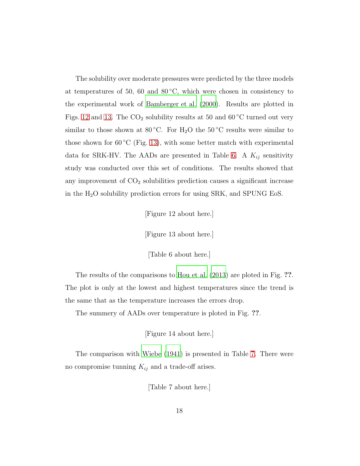The solubility over moderate pressures were predicted by the three models at temperatures of 50, 60 and  $80^{\circ}$ C, which were chosen in consistency to the experimental work of [Bamberger et al. \(2000](#page-29-3)). Results are plotted in Figs. [12](#page-48-0) and [13.](#page-49-0) The  $CO<sub>2</sub>$  solubility results at 50 and 60 °C turned out very similar to those shown at 80 °C. For H<sub>2</sub>O the 50 °C results were similar to those shown for 60  $\rm{^{\circ}C}$  (Fig. [13\)](#page-49-0), with some better match with experimental data for SRK-HV. The AADs are presented in Table [6.](#page-57-0) A  $K_{ij}$  sensitivity study was conducted over this set of conditions. The results showed that any improvement of  $CO<sub>2</sub>$  solubilities prediction causes a significant increase in the  $H_2O$  solubility prediction errors for using SRK, and SPUNG EoS.

[Figure 12 about here.]

[Figure 13 about here.]

[Table 6 about here.]

The results of the comparisons to [Hou et al. \(2013](#page-31-7)) are ploted in Fig. ??. The plot is only at the lowest and highest temperatures since the trend is the same that as the temperature increases the errors drop.

The summery of AADs over temperature is ploted in Fig. ??.

[Figure 14 about here.]

The comparison with [Wiebe \(1941\)](#page-34-4) is presented in Table [7.](#page-58-0) There were no compromise tunning  $K_{ij}$  and a trade-off arises.

[Table 7 about here.]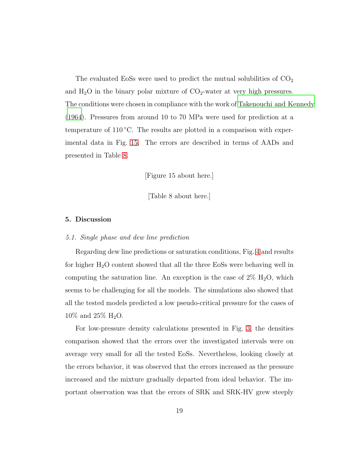The evaluated EoSs were used to predict the mutual solubilities of  $CO<sub>2</sub>$ and  $H_2O$  in the binary polar mixture of  $CO_2$ -water at very high pressures. The conditions were chosen in compliance with the work of [Takenouchi and Kennedy](#page-33-7) [\(1964\)](#page-33-7). Pressures from around 10 to 70 MPa were used for prediction at a temperature of  $110^{\circ}$ C. The results are plotted in a comparison with experimental data in Fig. [15.](#page-51-0) The errors are described in terms of AADs and presented in Table [8.](#page-59-0)

[Figure 15 about here.]

[Table 8 about here.]

#### 5. Discussion

#### 5.1. Single phase and dew line prediction

Regarding dew line predictions or saturation conditions, Fig. [4](#page-40-0) and results for higher  $H_2O$  content showed that all the three EoSs were behaving well in computing the saturation line. An exception is the case of  $2\%$  H<sub>2</sub>O, which seems to be challenging for all the models. The simulations also showed that all the tested models predicted a low pseudo-critical pressure for the cases of 10% and 25% H2O.

For low-pressure density calculations presented in Fig. [3,](#page-39-0) the densities comparison showed that the errors over the investigated intervals were on average very small for all the tested EoSs. Nevertheless, looking closely at the errors behavior, it was observed that the errors increased as the pressure increased and the mixture gradually departed from ideal behavior. The important observation was that the errors of SRK and SRK-HV grew steeply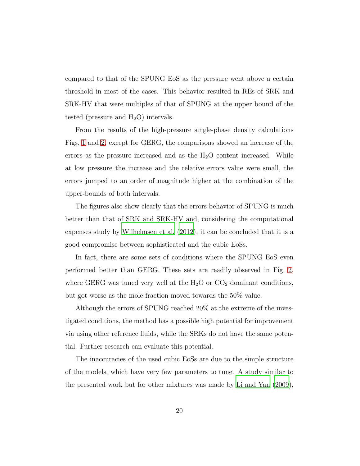compared to that of the SPUNG EoS as the pressure went above a certain threshold in most of the cases. This behavior resulted in REs of SRK and SRK-HV that were multiples of that of SPUNG at the upper bound of the tested (pressure and  $H_2O$ ) intervals.

From the results of the high-pressure single-phase density calculations Figs. [1](#page-37-0) and [2,](#page-38-0) except for GERG, the comparisons showed an increase of the errors as the pressure increased and as the  $H_2O$  content increased. While at low pressure the increase and the relative errors value were small, the errors jumped to an order of magnitude higher at the combination of the upper-bounds of both intervals.

The figures also show clearly that the errors behavior of SPUNG is much better than that of SRK and SRK-HV and, considering the computational expenses study by [Wilhelmsen et al. \(2012](#page-34-1)), it can be concluded that it is a good compromise between sophisticated and the cubic EoSs.

In fact, there are some sets of conditions where the SPUNG EoS even performed better than GERG. These sets are readily observed in Fig. [2,](#page-38-0) where GERG was tuned very well at the  $H_2O$  or  $CO_2$  dominant conditions, but got worse as the mole fraction moved towards the 50% value.

Although the errors of SPUNG reached 20% at the extreme of the investigated conditions, the method has a possible high potential for improvement via using other reference fluids, while the SRKs do not have the same potential. Further research can evaluate this potential.

The inaccuracies of the used cubic EoSs are due to the simple structure of the models, which have very few parameters to tune. A study similar to the presented work but for other mixtures was made by [Li and Yan \(2009\)](#page-32-4),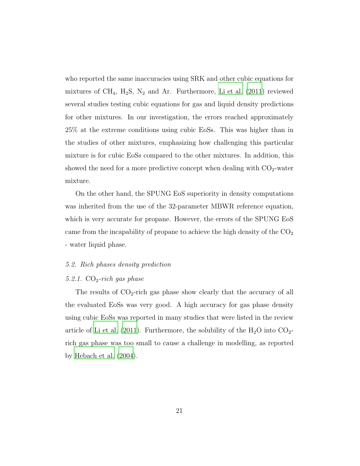who reported the same inaccuracies using SRK and other cubic equations for mixtures of  $CH_4$ ,  $H_2S$ ,  $N_2$  and Ar. Furthermore, [Li et al. \(2011\)](#page-32-5) reviewed several studies testing cubic equations for gas and liquid density predictions for other mixtures. In our investigation, the errors reached approximately 25% at the extreme conditions using cubic EoSs. This was higher than in the studies of other mixtures, emphasizing how challenging this particular mixture is for cubic EoSs compared to the other mixtures. In addition, this showed the need for a more predictive concept when dealing with  $CO<sub>2</sub>$ -water mixture.

On the other hand, the SPUNG EoS superiority in density computations was inherited from the use of the 32-parameter MBWR reference equation, which is very accurate for propane. However, the errors of the SPUNG EoS came from the incapability of propane to achieve the high density of the  $CO<sub>2</sub>$ - water liquid phase.

#### 5.2. Rich phases density prediction

#### 5.2.1.  $CO_2$ -rich gas phase

The results of  $CO_2$ -rich gas phase show clearly that the accuracy of all the evaluated EoSs was very good. A high accuracy for gas phase density using cubic EoSs was reported in many studies that were listed in the review article of [Li et al. \(2011\)](#page-32-5). Furthermore, the solubility of the  $H_2O$  into  $CO_2$ rich gas phase was too small to cause a challenge in modelling, as reported by [Hebach et al. \(2004\)](#page-30-6).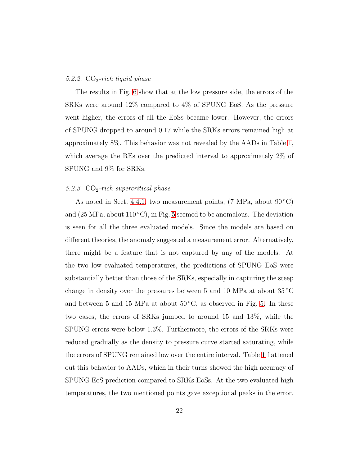#### 5.2.2.  $CO<sub>2</sub>-rich$  liquid phase

The results in Fig. [6](#page-42-0) show that at the low pressure side, the errors of the SRKs were around 12% compared to 4% of SPUNG EoS. As the pressure went higher, the errors of all the EoSs became lower. However, the errors of SPUNG dropped to around 0.17 while the SRKs errors remained high at approximately 8%. This behavior was not revealed by the AADs in Table [1,](#page-52-0) which average the REs over the predicted interval to approximately 2% of SPUNG and 9% for SRKs.

#### 5.2.3.  $CO<sub>2</sub>-rich supercritical phase$

As noted in Sect. [4.4.1,](#page-13-0) two measurement points,  $(7 \text{ MPa}, \text{about } 90^{\circ} \text{C})$ and  $(25 \text{ MPa}, \text{about } 110 \degree \text{C})$ , in Fig. [5](#page-41-0) seemed to be anomalous. The deviation is seen for all the three evaluated models. Since the models are based on different theories, the anomaly suggested a measurement error. Alternatively, there might be a feature that is not captured by any of the models. At the two low evaluated temperatures, the predictions of SPUNG EoS were substantially better than those of the SRKs, especially in capturing the steep change in density over the pressures between 5 and 10 MPa at about  $35^{\circ}$ C and between 5 and 15 MPa at about  $50^{\circ}$ C, as observed in Fig. [5.](#page-41-0) In these two cases, the errors of SRKs jumped to around 15 and 13%, while the SPUNG errors were below 1.3%. Furthermore, the errors of the SRKs were reduced gradually as the density to pressure curve started saturating, while the errors of SPUNG remained low over the entire interval. Table [1](#page-52-0) flattened out this behavior to AADs, which in their turns showed the high accuracy of SPUNG EoS prediction compared to SRKs EoSs. At the two evaluated high temperatures, the two mentioned points gave exceptional peaks in the error.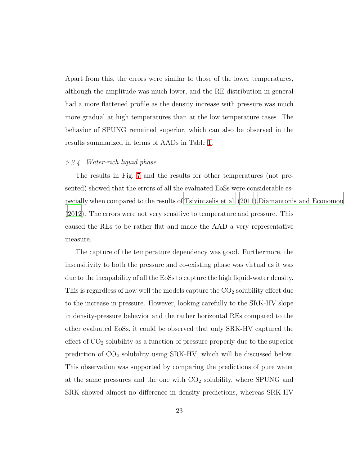Apart from this, the errors were similar to those of the lower temperatures, although the amplitude was much lower, and the RE distribution in general had a more flattened profile as the density increase with pressure was much more gradual at high temperatures than at the low temperature cases. The behavior of SPUNG remained superior, which can also be observed in the results summarized in terms of AADs in Table [1.](#page-52-0)

#### 5.2.4. Water-rich liquid phase

The results in Fig. [7](#page-43-0) and the results for other temperatures (not presented) showed that the errors of all the evaluated EoSs were considerable especially when compared to the results of [Tsivintzelis et al.](#page-34-0) [\(2011](#page-34-0))[,Diamantonis and Economou](#page-30-1) [\(2012\)](#page-30-1). The errors were not very sensitive to temperature and pressure. This caused the REs to be rather flat and made the AAD a very representative measure.

The capture of the temperature dependency was good. Furthermore, the insensitivity to both the pressure and co-existing phase was virtual as it was due to the incapability of all the EoSs to capture the high liquid-water density. This is regardless of how well the models capture the  $CO<sub>2</sub>$  solubility effect due to the increase in pressure. However, looking carefully to the SRK-HV slope in density-pressure behavior and the rather horizontal REs compared to the other evaluated EoSs, it could be observed that only SRK-HV captured the effect of  $CO<sub>2</sub>$  solubility as a function of pressure properly due to the superior prediction of  $CO<sub>2</sub>$  solubility using SRK-HV, which will be discussed below. This observation was supported by comparing the predictions of pure water at the same pressures and the one with  $CO<sub>2</sub>$  solubility, where SPUNG and SRK showed almost no difference in density predictions, whereas SRK-HV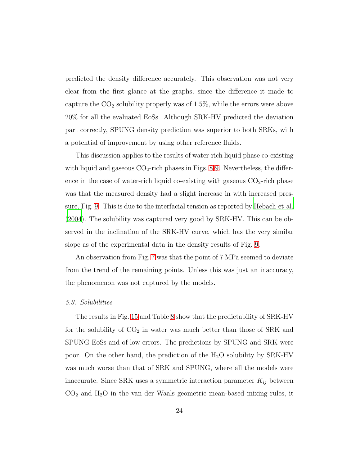predicted the density difference accurately. This observation was not very clear from the first glance at the graphs, since the difference it made to capture the  $CO<sub>2</sub>$  solubility properly was of 1.5%, while the errors were above 20% for all the evaluated EoSs. Although SRK-HV predicted the deviation part correctly, SPUNG density prediction was superior to both SRKs, with a potential of improvement by using other reference fluids.

This discussion applies to the results of water-rich liquid phase co-existing with liquid and gaseous  $CO<sub>2</sub>$ -rich phases in Figs. [8](#page-44-0)[-9.](#page-45-0) Nevertheless, the difference in the case of water-rich liquid co-existing with gaseous  $CO<sub>2</sub>$ -rich phase was that the measured density had a slight increase in with increased pressure, Fig. [9.](#page-45-0) This is due to the interfacial tension as reported by [Hebach et al.](#page-30-6) [\(2004\)](#page-30-6). The solubility was captured very good by SRK-HV. This can be observed in the inclination of the SRK-HV curve, which has the very similar slope as of the experimental data in the density results of Fig. [9.](#page-45-0)

An observation from Fig. [7](#page-43-0) was that the point of 7 MPa seemed to deviate from the trend of the remaining points. Unless this was just an inaccuracy, the phenomenon was not captured by the models.

#### 5.3. Solubilities

The results in Fig. [15](#page-51-0) and Table [8](#page-59-0) show that the predictability of SRK-HV for the solubility of  $CO<sub>2</sub>$  in water was much better than those of SRK and SPUNG EoSs and of low errors. The predictions by SPUNG and SRK were poor. On the other hand, the prediction of the  $H_2O$  solubility by SRK-HV was much worse than that of SRK and SPUNG, where all the models were inaccurate. Since SRK uses a symmetric interaction parameter  $K_{ij}$  between  $CO<sub>2</sub>$  and  $H<sub>2</sub>O$  in the van der Waals geometric mean-based mixing rules, it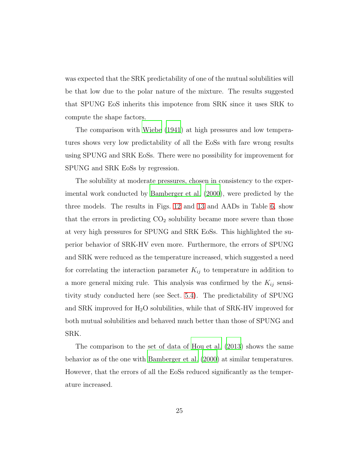was expected that the SRK predictability of one of the mutual solubilities will be that low due to the polar nature of the mixture. The results suggested that SPUNG EoS inherits this impotence from SRK since it uses SRK to compute the shape factors.

The comparison with [Wiebe \(1941](#page-34-4)) at high pressures and low temperatures shows very low predictability of all the EoSs with fare wrong results using SPUNG and SRK EoSs. There were no possibility for improvement for SPUNG and SRK EoSs by regression.

The solubility at moderate pressures, chosen in consistency to the experimental work conducted by [Bamberger et al. \(2000](#page-29-3)), were predicted by the three models. The results in Figs. [12](#page-48-0) and [13](#page-49-0) and AADs in Table [6,](#page-57-0) show that the errors in predicting  $CO<sub>2</sub>$  solubility became more severe than those at very high pressures for SPUNG and SRK EoSs. This highlighted the superior behavior of SRK-HV even more. Furthermore, the errors of SPUNG and SRK were reduced as the temperature increased, which suggested a need for correlating the interaction parameter  $K_{ij}$  to temperature in addition to a more general mixing rule. This analysis was confirmed by the  $K_{ij}$  sensitivity study conducted here (see Sect. [5.4\)](#page-25-0). The predictability of SPUNG and SRK improved for  $H_2O$  solubilities, while that of SRK-HV improved for both mutual solubilities and behaved much better than those of SPUNG and SRK.

The comparison to the set of data of [Hou et al. \(2013\)](#page-31-7) shows the same behavior as of the one with [Bamberger et al. \(2000\)](#page-29-3) at similar temperatures. However, that the errors of all the EoSs reduced significantly as the temperature increased.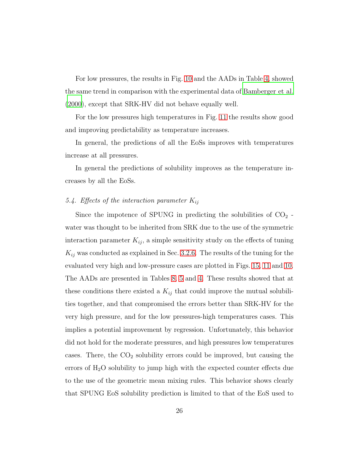For low pressures, the results in Fig. [10](#page-46-0) and the AADs in Table [4,](#page-55-0) showed the same trend in comparison with the experimental data of [Bamberger et al.](#page-29-3) [\(2000\)](#page-29-3), except that SRK-HV did not behave equally well.

For the low pressures high temperatures in Fig. [11](#page-47-0) the results show good and improving predictability as temperature increases.

In general, the predictions of all the EoSs improves with temperatures increase at all pressures.

<span id="page-25-0"></span>In general the predictions of solubility improves as the temperature increases by all the EoSs.

# 5.4. Effects of the interaction parameter  $K_{ij}$

Since the impotence of SPUNG in predicting the solubilities of  $CO<sub>2</sub>$ . water was thought to be inherited from SRK due to the use of the symmetric interaction parameter  $K_{ij}$ , a simple sensitivity study on the effects of tuning  $K_{ij}$  was conducted as explained in Sec. [3.2.6.](#page-11-0) The results of the tuning for the evaluated very high and low-pressure cases are plotted in Figs. [15,](#page-51-0) [11](#page-47-0) and [10.](#page-46-0) The AADs are presented in Tables [8,](#page-59-0) [5](#page-56-0) and [4.](#page-55-0) These results showed that at these conditions there existed a  $K_{ij}$  that could improve the mutual solubilities together, and that compromised the errors better than SRK-HV for the very high pressure, and for the low pressures-high temperatures cases. This implies a potential improvement by regression. Unfortunately, this behavior did not hold for the moderate pressures, and high pressures low temperatures cases. There, the  $CO<sub>2</sub>$  solubility errors could be improved, but causing the errors of  $H_2O$  solubility to jump high with the expected counter effects due to the use of the geometric mean mixing rules. This behavior shows clearly that SPUNG EoS solubility prediction is limited to that of the EoS used to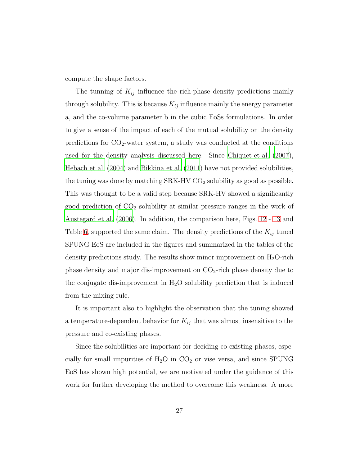compute the shape factors.

The tunning of  $K_{ij}$  influence the rich-phase density predictions mainly through solubility. This is because  $K_{ij}$  influence mainly the energy parameter a, and the co-volume parameter b in the cubic EoSs formulations. In order to give a sense of the impact of each of the mutual solubility on the density predictions for  $CO_2$ -water system, a study was conducted at the conditions used for the density analysis discussed here. Since [Chiquet](#page-30-5) et al. [\(2007\)](#page-30-5), [Hebach et al. \(2004\)](#page-30-6) and [Bikkina et al. \(2011](#page-29-2)) have not provided solubilities, the tuning was done by matching  $SRK-HVCO<sub>2</sub>$  solubility as good as possible. This was thought to be a valid step because SRK-HV showed a significantly good prediction of  $CO<sub>2</sub>$  solubility at similar pressure ranges in the work of [Austegard et al. \(2006](#page-29-1)). In addition, the comparison here, Figs. [12](#page-48-0) - [13](#page-49-0) and Table [6,](#page-57-0) supported the same claim. The density predictions of the  $K_{ij}$  tuned SPUNG EoS are included in the figures and summarized in the tables of the density predictions study. The results show minor improvement on  $H_2O$ -rich phase density and major dis-improvement on  $CO<sub>2</sub>$ -rich phase density due to the conjugate dis-improvement in  $H_2O$  solubility prediction that is induced from the mixing rule.

It is important also to highlight the observation that the tuning showed a temperature-dependent behavior for  $K_{ij}$  that was almost insensitive to the pressure and co-existing phases.

Since the solubilities are important for deciding co-existing phases, especially for small impurities of  $H_2O$  in  $CO_2$  or vise versa, and since SPUNG EoS has shown high potential, we are motivated under the guidance of this work for further developing the method to overcome this weakness. A more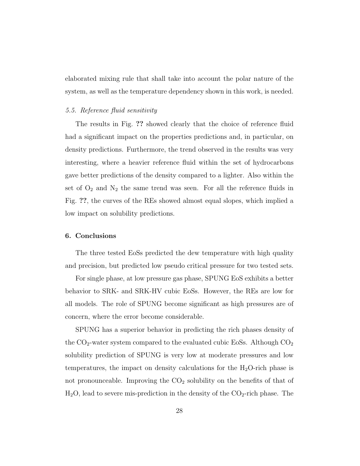elaborated mixing rule that shall take into account the polar nature of the system, as well as the temperature dependency shown in this work, is needed.

#### 5.5. Reference fluid sensitivity

The results in Fig. ?? showed clearly that the choice of reference fluid had a significant impact on the properties predictions and, in particular, on density predictions. Furthermore, the trend observed in the results was very interesting, where a heavier reference fluid within the set of hydrocarbons gave better predictions of the density compared to a lighter. Also within the set of  $O_2$  and  $N_2$  the same trend was seen. For all the reference fluids in Fig. ??, the curves of the REs showed almost equal slopes, which implied a low impact on solubility predictions.

## 6. Conclusions

The three tested EoSs predicted the dew temperature with high quality and precision, but predicted low pseudo critical pressure for two tested sets.

For single phase, at low pressure gas phase, SPUNG EoS exhibits a better behavior to SRK- and SRK-HV cubic EoSs. However, the REs are low for all models. The role of SPUNG become significant as high pressures are of concern, where the error become considerable.

SPUNG has a superior behavior in predicting the rich phases density of the  $CO_2$ -water system compared to the evaluated cubic EoSs. Although  $CO_2$ solubility prediction of SPUNG is very low at moderate pressures and low temperatures, the impact on density calculations for the  $H_2O$ -rich phase is not pronounceable. Improving the  $CO<sub>2</sub>$  solubility on the benefits of that of  $H<sub>2</sub>O$ , lead to severe mis-prediction in the density of the  $CO<sub>2</sub>$ -rich phase. The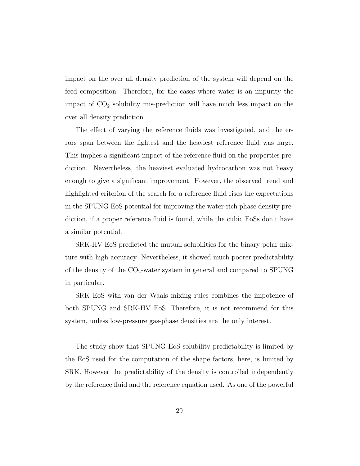impact on the over all density prediction of the system will depend on the feed composition. Therefore, for the cases where water is an impurity the impact of  $CO<sub>2</sub>$  solubility mis-prediction will have much less impact on the over all density prediction.

The effect of varying the reference fluids was investigated, and the errors span between the lightest and the heaviest reference fluid was large. This implies a significant impact of the reference fluid on the properties prediction. Nevertheless, the heaviest evaluated hydrocarbon was not heavy enough to give a significant improvement. However, the observed trend and highlighted criterion of the search for a reference fluid rises the expectations in the SPUNG EoS potential for improving the water-rich phase density prediction, if a proper reference fluid is found, while the cubic EoSs don't have a similar potential.

SRK-HV EoS predicted the mutual solubilities for the binary polar mixture with high accuracy. Nevertheless, it showed much poorer predictability of the density of the  $CO<sub>2</sub>$ -water system in general and compared to SPUNG in particular.

SRK EoS with van der Waals mixing rules combines the impotence of both SPUNG and SRK-HV EoS. Therefore, it is not recommend for this system, unless low-pressure gas-phase densities are the only interest.

The study show that SPUNG EoS solubility predictability is limited by the EoS used for the computation of the shape factors, here, is limited by SRK. However the predictability of the density is controlled independently by the reference fluid and the reference equation used. As one of the powerful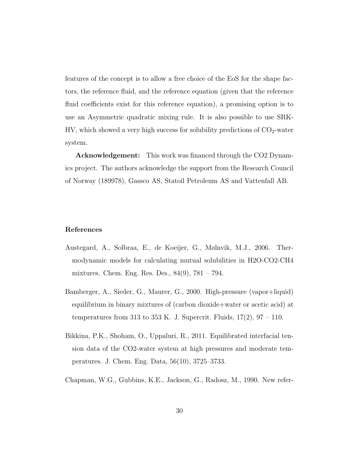features of the concept is to allow a free choice of the EoS for the shape factors, the reference fluid, and the reference equation (given that the reference fluid coefficients exist for this reference equation), a promising option is to use an Asymmetric quadratic mixing rule. It is also possible to use SRK- $HV$ , which showed a very high success for solubility predictions of  $CO<sub>2</sub>$ -water system.

Acknowledgement: This work was financed through the CO2 Dynamics project. The authors acknowledge the support from the Research Council of Norway (189978), Gassco AS, Statoil Petroleum AS and Vattenfall AB.

#### References

- <span id="page-29-1"></span>Austegard, A., Solbraa, E., de Koeijer, G., Mølnvik, M.J., 2006. Thermodynamic models for calculating mutual solubilities in H2O-CO2-CH4 mixtures. Chem. Eng. Res. Des., 84(9), 781 – 794.
- <span id="page-29-3"></span>Bamberger, A., Sieder, G., Maurer, G., 2000. High-pressure (vapor+liquid) equilibrium in binary mixtures of (carbon dioxide+water or acetic acid) at temperatures from 313 to 353 K. J. Supercrit. Fluids,  $17(2)$ ,  $97 - 110$ .
- <span id="page-29-2"></span>Bikkina, P.K., Shoham, O., Uppaluri, R., 2011. Equilibrated interfacial tension data of the CO2-water system at high pressures and moderate temperatures. J. Chem. Eng. Data, 56(10), 3725–3733.
- <span id="page-29-0"></span>Chapman, W.G., Gubbins, K.E., Jackson, G., Radosz, M., 1990. New refer-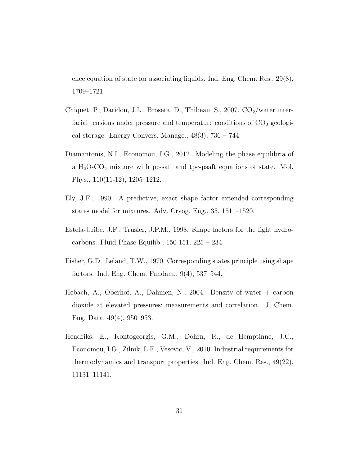ence equation of state for associating liquids. Ind. Eng. Chem. Res., 29(8), 1709–1721.

- <span id="page-30-5"></span>Chiquet, P., Daridon, J.L., Broseta, D., Thibeau, S., 2007.  $CO_2/water$  interfacial tensions under pressure and temperature conditions of  $CO<sub>2</sub>$  geological storage. Energy Convers. Manage.,  $48(3)$ ,  $736 - 744$ .
- <span id="page-30-1"></span>Diamantonis, N.I., Economou, I.G., 2012. Modeling the phase equilibria of a  $H<sub>2</sub>O-CO<sub>2</sub>$  mixture with pc-saft and tpc-psaft equations of state. Mol. Phys., 110(11-12), 1205–1212.
- <span id="page-30-3"></span>Ely, J.F., 1990. A predictive, exact shape factor extended corresponding states model for mixtures. Adv. Cryog. Eng., 35, 1511–1520.
- <span id="page-30-4"></span>Estela-Uribe, J.F., Trusler, J.P.M., 1998. Shape factors for the light hydrocarbons. Fluid Phase Equilib., 150-151, 225 – 234.
- <span id="page-30-2"></span>Fisher, G.D., Leland, T.W., 1970. Corresponding states principle using shape factors. Ind. Eng. Chem. Fundam., 9(4), 537–544.
- <span id="page-30-6"></span>Hebach, A., Oberhof, A., Dahmen, N., 2004. Density of water + carbon dioxide at elevated pressures: measurements and correlation. J. Chem. Eng. Data, 49(4), 950–953.
- <span id="page-30-0"></span>Hendriks, E., Kontogeorgis, G.M., Dohrn, R., de Hemptinne, J.C., Economou, I.G., Zilnik, L.F., Vesovic, V., 2010. Industrial requirements for thermodynamics and transport properties. Ind. Eng. Chem. Res., 49(22), 11131–11141.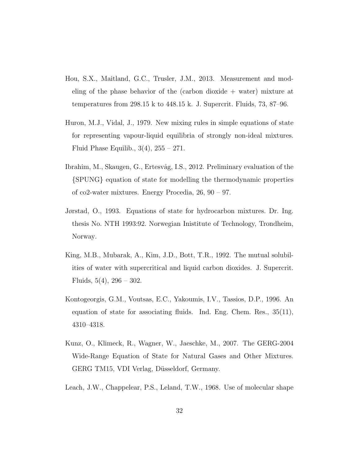- <span id="page-31-7"></span>Hou, S.X., Maitland, G.C., Trusler, J.M., 2013. Measurement and modeling of the phase behavior of the (carbon dioxide  $+$  water) mixture at temperatures from 298.15 k to 448.15 k. J. Supercrit. Fluids, 73, 87–96.
- <span id="page-31-0"></span>Huron, M.J., Vidal, J., 1979. New mixing rules in simple equations of state for representing vapour-liquid equilibria of strongly non-ideal mixtures. Fluid Phase Equilib.,  $3(4)$ ,  $255 - 271$ .
- <span id="page-31-4"></span>Ibrahim, M., Skaugen, G., Ertesvåg, I.S., 2012. Preliminary evaluation of the {SPUNG} equation of state for modelling the thermodynamic properties of co2-water mixtures. Energy Procedia, 26, 90 – 97.
- <span id="page-31-3"></span>Jørstad, O., 1993. Equations of state for hydrocarbon mixtures. Dr. Ing. thesis No. NTH 1993:92. Norwegian Inistitute of Technology, Trondheim, Norway.
- <span id="page-31-6"></span>King, M.B., Mubarak, A., Kim, J.D., Bott, T.R., 1992. The mutual solubilities of water with supercritical and liquid carbon dioxides. J. Supercrit. Fluids,  $5(4)$ ,  $296 - 302$ .
- <span id="page-31-2"></span>Kontogeorgis, G.M., Voutsas, E.C., Yakoumis, I.V., Tassios, D.P., 1996. An equation of state for associating fluids. Ind. Eng. Chem. Res., 35(11), 4310–4318.
- <span id="page-31-1"></span>Kunz, O., Klimeck, R., Wagner, W., Jaeschke, M., 2007. The GERG-2004 Wide-Range Equation of State for Natural Gases and Other Mixtures. GERG TM15, VDI Verlag, Düsseldorf, Germany.
- <span id="page-31-5"></span>Leach, J.W., Chappelear, P.S., Leland, T.W., 1968. Use of molecular shape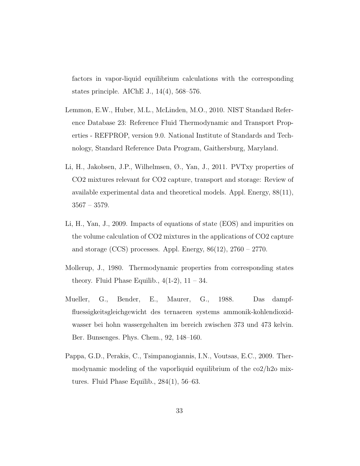factors in vapor-liquid equilibrium calculations with the corresponding states principle. AIChE J., 14(4), 568–576.

- <span id="page-32-0"></span>Lemmon, E.W., Huber, M.L., McLinden, M.O., 2010. NIST Standard Reference Database 23: Reference Fluid Thermodynamic and Transport Properties - REFPROP, version 9.0. National Institute of Standards and Technology, Standard Reference Data Program, Gaithersburg, Maryland.
- <span id="page-32-5"></span>Li, H., Jakobsen, J.P., Wilhelmsen, Ø., Yan, J., 2011. PVTxy properties of CO2 mixtures relevant for CO2 capture, transport and storage: Review of available experimental data and theoretical models. Appl. Energy, 88(11), 3567 – 3579.
- <span id="page-32-4"></span>Li, H., Yan, J., 2009. Impacts of equations of state (EOS) and impurities on the volume calculation of CO2 mixtures in the applications of CO2 capture and storage (CCS) processes. Appl. Energy,  $86(12)$ ,  $2760 - 2770$ .
- <span id="page-32-1"></span>Mollerup, J., 1980. Thermodynamic properties from corresponding states theory. Fluid Phase Equilib.,  $4(1-2)$ ,  $11-34$ .
- <span id="page-32-3"></span>Mueller, G., Bender, E., Maurer, G., 1988. Das dampffluessigkeitsgleichgewicht des ternaeren systems ammonik-kohlendioxidwasser bei hohn wassergehalten im bereich zwischen 373 und 473 kelvin. Ber. Bunsenges. Phys. Chem., 92, 148–160.
- <span id="page-32-2"></span>Pappa, G.D., Perakis, C., Tsimpanogiannis, I.N., Voutsas, E.C., 2009. Thermodynamic modeling of the vaporliquid equilibrium of the co2/h2o mixtures. Fluid Phase Equilib., 284(1), 56–63.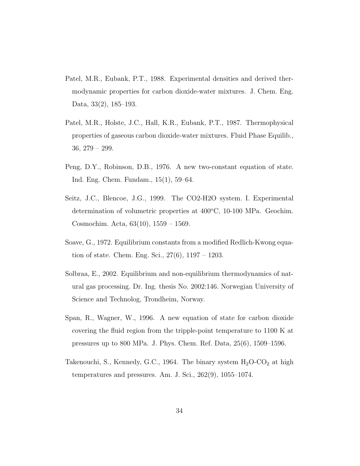- <span id="page-33-4"></span>Patel, M.R., Eubank, P.T., 1988. Experimental densities and derived thermodynamic properties for carbon dioxide-water mixtures. J. Chem. Eng. Data, 33(2), 185–193.
- <span id="page-33-6"></span>Patel, M.R., Holste, J.C., Hall, K.R., Eubank, P.T., 1987. Thermophysical properties of gaseous carbon dioxide-water mixtures. Fluid Phase Equilib., 36, 279 – 299.
- <span id="page-33-1"></span>Peng, D.Y., Robinson, D.B., 1976. A new two-constant equation of state. Ind. Eng. Chem. Fundam., 15(1), 59–64.
- <span id="page-33-5"></span>Seitz, J.C., Blencoe, J.G., 1999. The CO2-H2O system. I. Experimental determination of volumetric properties at  $400^{\circ}$ C, 10-100 MPa. Geochim. Cosmochim. Acta, 63(10), 1559 – 1569.
- <span id="page-33-0"></span>Soave, G., 1972. Equilibrium constants from a modified Redlich-Kwong equation of state. Chem. Eng. Sci.,  $27(6)$ ,  $1197 - 1203$ .
- <span id="page-33-3"></span>Solbraa, E., 2002. Equilibrium and non-equilibrium thermodynamics of natural gas processing. Dr. Ing. thesis No. 2002:146. Norwegian University of Science and Technolog, Trondheim, Norway.
- <span id="page-33-2"></span>Span, R., Wagner, W., 1996. A new equation of state for carbon dioxide covering the fluid region from the tripple-point temperature to 1100 K at pressures up to 800 MPa. J. Phys. Chem. Ref. Data, 25(6), 1509–1596.
- <span id="page-33-7"></span>Takenouchi, S., Kennedy, G.C., 1964. The binary system  $H_2O$ - $CO_2$  at high temperatures and pressures. Am. J. Sci., 262(9), 1055–1074.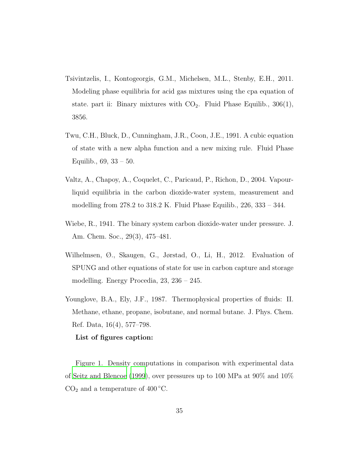- <span id="page-34-0"></span>Tsivintzelis, I., Kontogeorgis, G.M., Michelsen, M.L., Stenby, E.H., 2011. Modeling phase equilibria for acid gas mixtures using the cpa equation of state. part ii: Binary mixtures with  $CO<sub>2</sub>$ . Fluid Phase Equilib., 306(1), 3856.
- <span id="page-34-2"></span>Twu, C.H., Bluck, D., Cunningham, J.R., Coon, J.E., 1991. A cubic equation of state with a new alpha function and a new mixing rule. Fluid Phase Equilib., 69, 33 – 50.
- <span id="page-34-5"></span>Valtz, A., Chapoy, A., Coquelet, C., Paricaud, P., Richon, D., 2004. Vapourliquid equilibria in the carbon dioxide-water system, measurement and modelling from 278.2 to 318.2 K. Fluid Phase Equilib., 226, 333 – 344.
- <span id="page-34-4"></span>Wiebe, R., 1941. The binary system carbon dioxide-water under pressure. J. Am. Chem. Soc., 29(3), 475–481.
- <span id="page-34-1"></span>Wilhelmsen, Ø., Skaugen, G., Jørstad, O., Li, H., 2012. Evaluation of SPUNG and other equations of state for use in carbon capture and storage modelling. Energy Procedia, 23, 236 – 245.
- <span id="page-34-3"></span>Younglove, B.A., Ely, J.F., 1987. Thermophysical properties of fluids: II. Methane, ethane, propane, isobutane, and normal butane. J. Phys. Chem. Ref. Data, 16(4), 577–798.

## List of figures caption:

Figure 1. Density computations in comparison with experimental data of [Seitz and Blencoe \(1999](#page-33-5)), over pressures up to 100 MPa at 90% and 10%  $CO<sub>2</sub>$  and a temperature of 400 °C.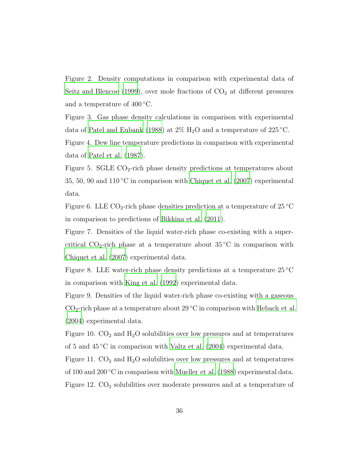Figure 2. Density computations in comparison with experimental data of [Seitz and Blencoe \(1999\)](#page-33-5), over mole fractions of  $CO<sub>2</sub>$  at different pressures and a temperature of  $400^{\circ}$ C.

Figure 3. Gas phase density calculations in comparison with experimental data of [Patel and Eubank \(1988](#page-33-4)) at  $2\%$  H<sub>2</sub>O and a temperature of  $225\,^{\circ}\text{C}$ .

Figure 4. Dew line temperature predictions in comparison with experimental data of [Patel et al. \(1987](#page-33-6)).

Figure 5. SGLE  $CO_2$ -rich phase density predictions at temperatures about 35, 50, 90 and  $110\textdegree C$  in comparison with [Chiquet et al. \(2007](#page-30-5)) experimental data.

Figure 6. LLE  $CO_2$ -rich phase densities prediction at a temperature of 25 °C in comparison to predictions of [Bikkina et al. \(2011](#page-29-2)).

Figure 7. Densities of the liquid water-rich phase co-existing with a supercritical  $CO_2$ -rich phase at a temperature about 35 °C in comparison with [Chiquet et al. \(2007](#page-30-5)) experimental data.

Figure 8. LLE water-rich phase density predictions at a temperature  $25^{\circ}$ C in comparison with [King et al. \(1992\)](#page-31-6) experimental data.

Figure 9. Densities of the liquid water-rich phase co-existing with a gaseous  $CO<sub>2</sub>$ -rich phase at a temperature about 29 °C in comparison with [Hebach et al.](#page-30-6) [\(2004\)](#page-30-6) experimental data.

Figure 10.  $CO<sub>2</sub>$  and  $H<sub>2</sub>O$  solubilities over low pressures and at temperatures of 5 and 45 ◦C in comparison with [Valtz et al. \(2004](#page-34-5)) experimental data.

Figure 11.  $CO<sub>2</sub>$  and  $H<sub>2</sub>O$  solubilities over low pressures and at temperatures of 100 and 200 °C in comparison with [Mueller et al. \(1988\)](#page-32-3) experimental data. Figure 12.  $CO<sub>2</sub>$  solubilities over moderate pressures and at a temperature of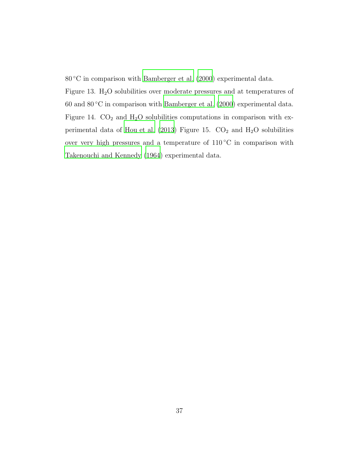80 ℃ in comparison with [Bamberger et al. \(2000](#page-29-3)) experimental data.

Figure 13.  $H_2O$  solubilities over moderate pressures and at temperatures of 60 and  $80^{\circ}$ C in comparison with [Bamberger et al. \(2000](#page-29-3)) experimental data. Figure 14.  $CO<sub>2</sub>$  and  $H<sub>2</sub>O$  solubilities computations in comparison with ex-perimental data of [Hou et al. \(2013](#page-31-7)) Figure 15.  $CO<sub>2</sub>$  and  $H<sub>2</sub>O$  solubilities over very high pressures and a temperature of 110 ◦C in comparison with [Takenouchi and Kennedy \(1964](#page-33-7)) experimental data.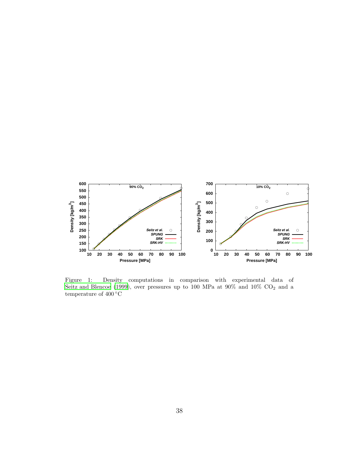

<span id="page-37-0"></span>Figure 1: Density computations in comparison with experimental data of [Seitz and Blencoe \(1999\)](#page-33-5), over pressures up to 100 MPa at 90% and 10%  $CO<sub>2</sub>$  and a temperature of  $400\,^{\circ}\mathrm{C}$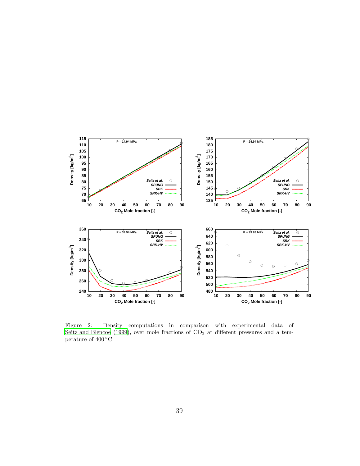

<span id="page-38-0"></span>Figure 2: Density computations in comparison with experimental data of [Seitz and Blencoe \(1999\)](#page-33-5), over mole fractions of  $CO<sub>2</sub>$  at different pressures and a temperature of 400 ◦C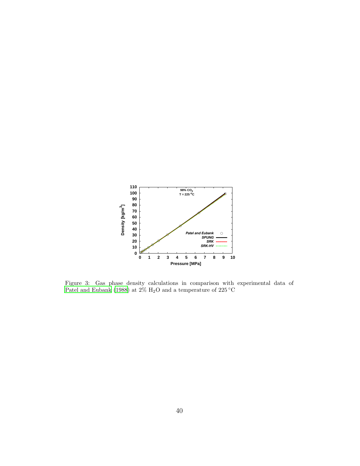

<span id="page-39-0"></span>Figure 3: Gas phase density calculations in comparison with experimental data of [Patel and Eubank \(1988\)](#page-33-4) at 2%  $\rm H_{2}O$  and a temperature of 225  $\rm ^{\circ}C$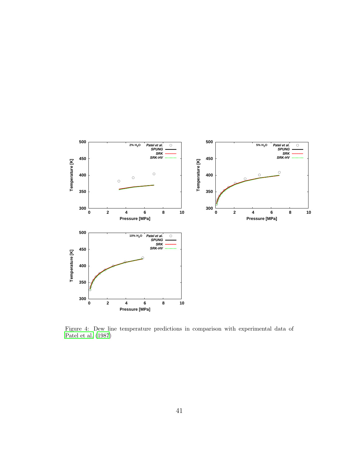

<span id="page-40-0"></span>Figure 4: Dew line temperature predictions in comparison with experimental data of [Patel et al. \(1987\)](#page-33-6)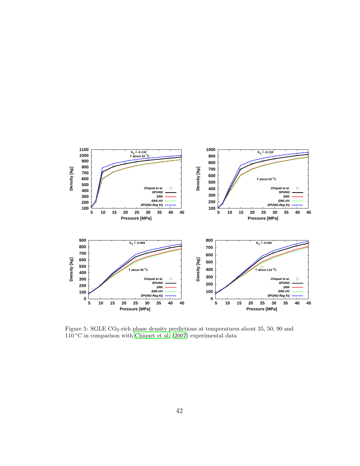

<span id="page-41-0"></span>Figure 5: SGLE CO2-rich phase density predictions at temperatures about 35, 50, 90 and  $110\,^{\circ}\mathrm{C}$  in comparison with [Chiquet et al. \(2007\)](#page-30-5) experimental data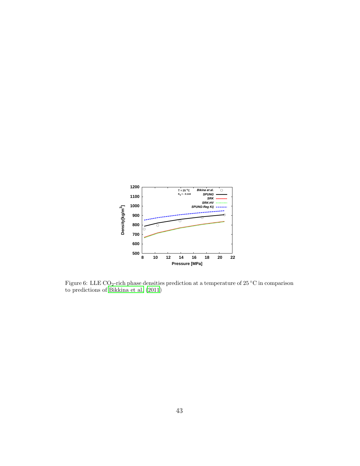

<span id="page-42-0"></span>Figure 6: LLE CO<sub>2</sub>-rich phase densities prediction at a temperature of 25 °C in comparison to predictions of [Bikkina et al. \(2011\)](#page-29-2)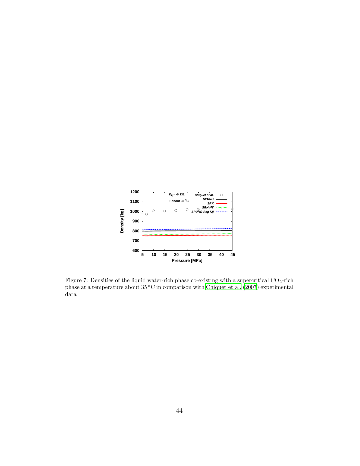

<span id="page-43-0"></span>Figure 7: Densities of the liquid water-rich phase co-existing with a supercritical  $CO_2$ -rich phase at a temperature about 35 ◦C in comparison with [Chiquet et al. \(2007\)](#page-30-5) experimental data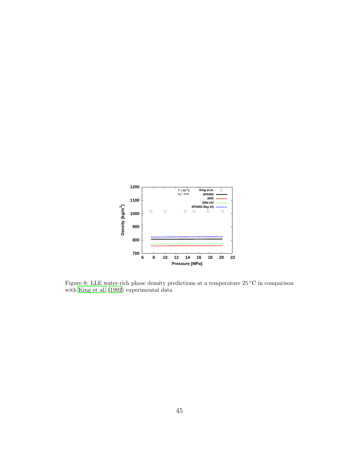

<span id="page-44-0"></span>Figure 8: LLE water-rich phase density predictions at a temperature 25 ◦C in comparison with [King et al. \(1992](#page-31-6)) experimental data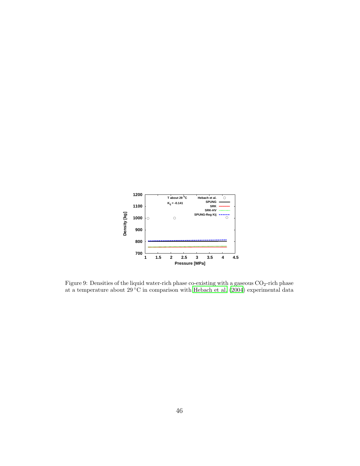

<span id="page-45-0"></span>Figure 9: Densities of the liquid water-rich phase co-existing with a gaseous  $CO<sub>2</sub>$ -rich phase at a temperature about 29 °C in comparison with [Hebach et al. \(2004\)](#page-30-6) experimental data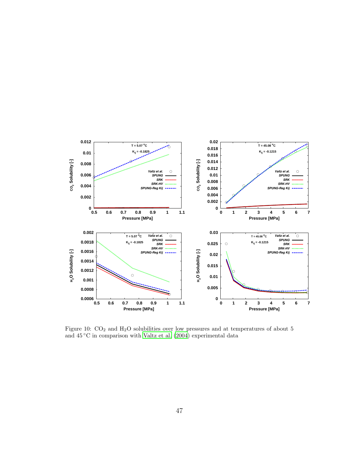

<span id="page-46-0"></span>Figure 10:  $CO<sub>2</sub>$  and H<sub>2</sub>O solubilities over low pressures and at temperatures of about 5 and  $45\,^{\circ}\text{C}$  in comparison with [Valtz et al. \(2004](#page-34-5)) experimental data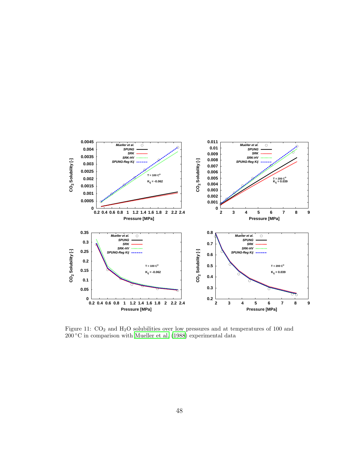

<span id="page-47-0"></span>Figure 11:  $CO<sub>2</sub>$  and H<sub>2</sub>O solubilities over low pressures and at temperatures of 100 and  $200\textdegree C$  in comparison with [Mueller et al. \(1988](#page-32-3)) experimental data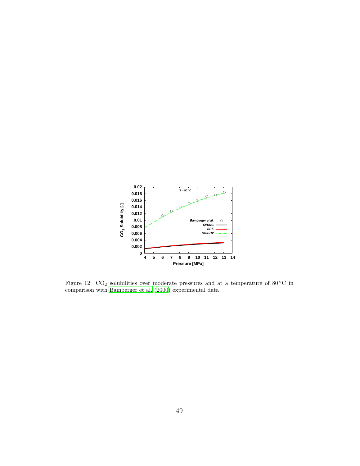

<span id="page-48-0"></span>Figure 12:  $CO<sub>2</sub>$  solubilities over moderate pressures and at a temperature of 80 °C in comparison with [Bamberger et al. \(2000](#page-29-3)) experimental data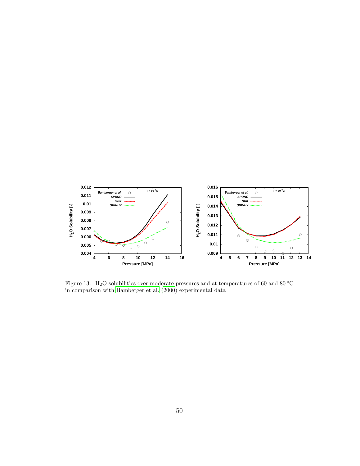

<span id="page-49-0"></span>Figure 13: H<sub>2</sub>O solubilities over moderate pressures and at temperatures of 60 and 80 °C in comparison with [Bamberger et al. \(2000\)](#page-29-3) experimental data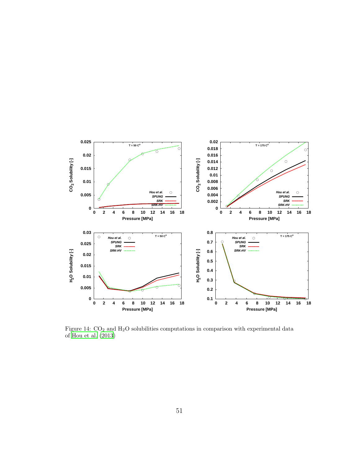

Figure 14:  $CO<sub>2</sub>$  and H<sub>2</sub>O solubilities computations in comparison with experimental data of [Hou et al. \(2013\)](#page-31-7)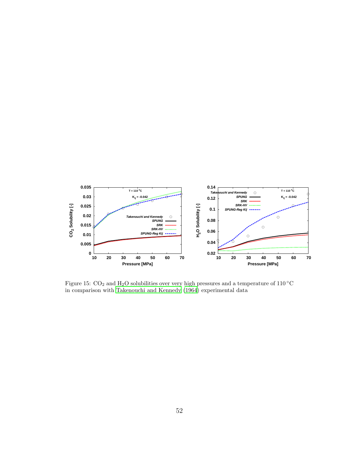

<span id="page-51-0"></span>Figure 15:  $CO<sub>2</sub>$  and H<sub>2</sub>O solubilities over very high pressures and a temperature of 110 °C in comparison with [Takenouchi and Kennedy \(1964](#page-33-7)) experimental data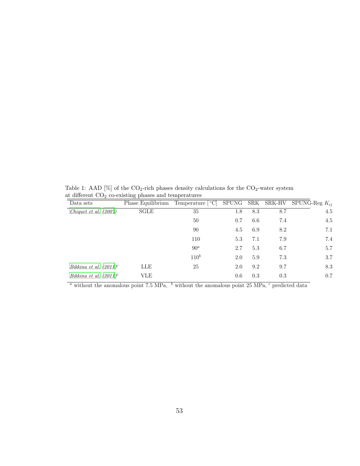Table 1: AAD [%] of the  $CO_2$ -rich phases density calculations for the  $CO_2$ -water system at different  $CO<sub>2</sub>$  co-existing phases and temperatures

<span id="page-52-0"></span>

|                           | ◡                 | <b>I</b>                              |     |     |     |                                     |
|---------------------------|-------------------|---------------------------------------|-----|-----|-----|-------------------------------------|
| Data sets                 | Phase Equilibrium | Temperature $\lceil \text{°C} \rceil$ |     |     |     | SPUNG SRK SRK-HV SPUNG-Reg $K_{ii}$ |
| Chiquet et al. $(2007)$   | SGLE              | 35                                    | 1.8 | 8.3 | 8.7 | 4.5                                 |
|                           |                   | 50                                    | 0.7 | 6.6 | 7.4 | 4.5                                 |
|                           |                   | 90                                    | 4.5 | 6.9 | 8.2 | 7.1                                 |
|                           |                   | 110                                   | 5.3 | 7.1 | 7.9 | 7.4                                 |
|                           |                   | 90 <sup>a</sup>                       | 2.7 | 5.3 | 6.7 | 5.7                                 |
|                           |                   | $110^b$                               | 2.0 | 5.9 | 7.3 | 3.7                                 |
| Bikkina et al. $(2011)^c$ | LLE               | 25                                    | 2.0 | 9.2 | 9.7 | 8.3                                 |
| Bikkina et al. $(2011)^c$ | <b>VLE</b>        |                                       | 0.6 | 0.3 | 0.3 | 0.7                                 |
|                           |                   |                                       |     |     |     |                                     |

 $\frac{a}{a}$  without the anomalous point 7.5 MPa,  $\frac{b}{b}$  without the anomalous point 25 MPa,  $\frac{c}{c}$  predicted data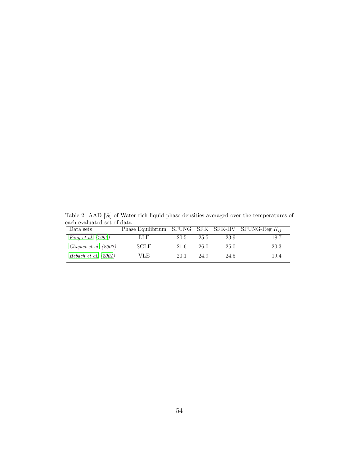| Table 2: AAD [%] of Water rich liquid phase densities averaged over the temperatures of |                                                       |  |  |  |  |  |
|-----------------------------------------------------------------------------------------|-------------------------------------------------------|--|--|--|--|--|
| each evaluated set of data                                                              |                                                       |  |  |  |  |  |
| Data sets                                                                               | Phase Equilibrium SPUNG SRK SRK-HV SPUNG-Reg $K_{ii}$ |  |  |  |  |  |

<span id="page-53-0"></span>

| Phase Equilibrium SPUNG SRK SRK-HV SPUNG-Reg $K_{ii}$ |  |
|-------------------------------------------------------|--|
| 18.7                                                  |  |
| 20.3                                                  |  |
| 19.4                                                  |  |
|                                                       |  |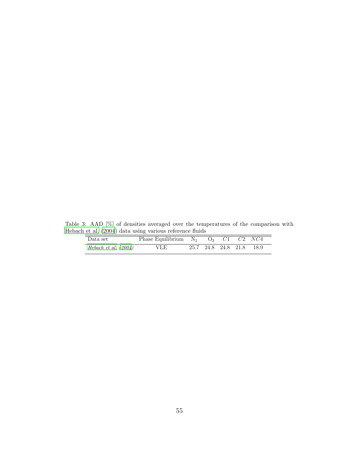Table 3: AAD [%] of densities averaged over the temperatures of the comparison with [Hebach et al. \(2004\)](#page-30-6) data using various reference fluids

<span id="page-54-0"></span>

| $\sim$ 0. $\mu$ . (2001) dava domig various reference manas |                                               |  |  |  |  |                          |  |  |
|-------------------------------------------------------------|-----------------------------------------------|--|--|--|--|--------------------------|--|--|
| Data set                                                    | Phase Equilibrium $N_2$ $Q_2$ $C1$ $C2$ $NC4$ |  |  |  |  |                          |  |  |
| Hebach et al. $(2004)$                                      | VLE.                                          |  |  |  |  | 25.7 24.8 24.8 21.8 18.9 |  |  |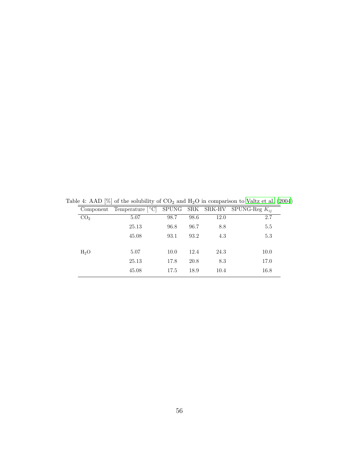<span id="page-55-0"></span>

|                 | Component Temperature $\lceil \text{°C} \rceil$ SPUNG SRK SRK-HV SPUNG-Reg $K_{ii}$ |      |      |      |      |
|-----------------|-------------------------------------------------------------------------------------|------|------|------|------|
| CO <sub>2</sub> | 5.07                                                                                | 98.7 | 98.6 | 12.0 | 2.7  |
|                 | 25.13                                                                               | 96.8 | 96.7 | 8.8  | 5.5  |
|                 | 45.08                                                                               | 93.1 | 93.2 | 4.3  | 5.3  |
|                 |                                                                                     |      |      |      |      |
| $H_2O$          | 5.07                                                                                | 10.0 | 12.4 | 24.3 | 10.0 |
|                 | 25.13                                                                               | 17.8 | 20.8 | 8.3  | 17.0 |
|                 | 45.08                                                                               | 17.5 | 18.9 | 10.4 | 16.8 |

Table 4: AAD [%] of the solubility of  $CO<sub>2</sub>$  and  $H<sub>2</sub>O$  in comparison to [Valtz et al. \(2004](#page-34-5))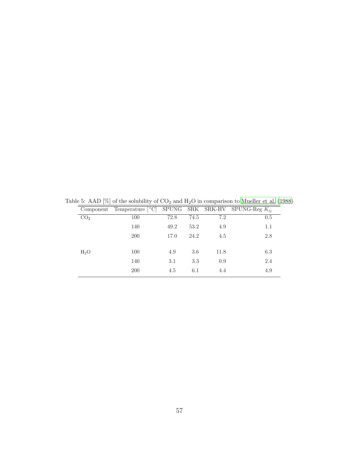<span id="page-56-0"></span>

| $\cdot$ |      |                                                  |     |                                             |
|---------|------|--------------------------------------------------|-----|---------------------------------------------|
|         |      |                                                  |     |                                             |
| 100     | 72.8 | 74.5                                             | 7.2 | 0.5                                         |
| 140     | 49.2 | 53.2                                             | 4.9 | 1.1                                         |
| 200     | 17.0 | 24.2                                             | 4.5 | 2.8                                         |
|         |      |                                                  |     |                                             |
|         |      |                                                  |     | 6.3                                         |
| 140     | 3.1  | 3.3                                              | 0.9 | 2.4                                         |
| 200     | 4.5  | 6.1                                              | 4.4 | 4.9                                         |
|         | 100  | Temperature $\lceil \, \circ \, C \rceil$<br>4.9 | 3.6 | SPUNG SRK SRK-HV SPUNG-Reg $K_{ii}$<br>11.8 |

Table 5: AAD [%] of the solubility of  $CO_2$  and  $H_2O$  in comparison to [Mueller et al. \(1988\)](#page-32-3)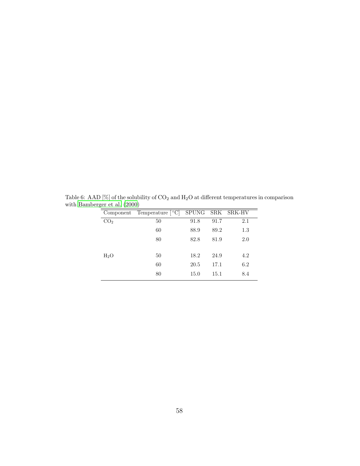<span id="page-57-0"></span>

|                 | Component Temperature [°C] SPUNG SRK SRK-HV |      |      |     |
|-----------------|---------------------------------------------|------|------|-----|
| CO <sub>2</sub> | 50                                          | 91.8 | 91.7 | 2.1 |
|                 | 60                                          | 88.9 | 89.2 | 1.3 |
|                 | 80                                          | 82.8 | 81.9 | 2.0 |
|                 |                                             |      |      |     |
| $H_2O$          | 50                                          | 18.2 | 24.9 | 4.2 |
|                 | 60                                          | 20.5 | 17.1 | 6.2 |
|                 | 80                                          | 15.0 | 15.1 | 8.4 |

Table 6: AAD [%] of the solubility of  $CO_2$  and  $H_2O$  at different temperatures in comparison with [Bamberger et al. \(2000\)](#page-29-3)  $=$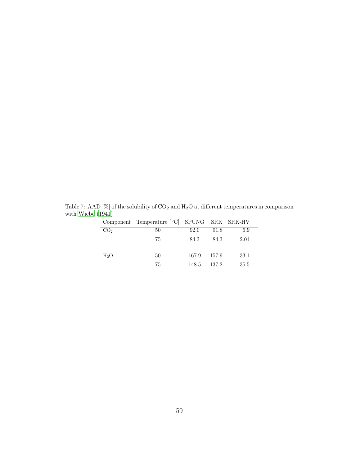<span id="page-58-0"></span>

|                  | Component Temperature [°C] SPUNG SRK SRK-HV |       |       |      |
|------------------|---------------------------------------------|-------|-------|------|
| CO <sub>2</sub>  | 50                                          | 92.0  | 91.8  | 6.9  |
|                  | 75                                          | 84.3  | 84.3  | 2.01 |
|                  |                                             |       |       |      |
| H <sub>2</sub> O | 50                                          | 167.9 | 157.9 | 33.1 |
|                  | 75                                          | 148.5 | 137.2 | 35.5 |
|                  |                                             |       |       |      |

Table 7: AAD [%] of the solubility of  $CO_2$  and  $H_2O$  at different temperatures in comparison with [Wiebe \(1941](#page-34-4))  $=$